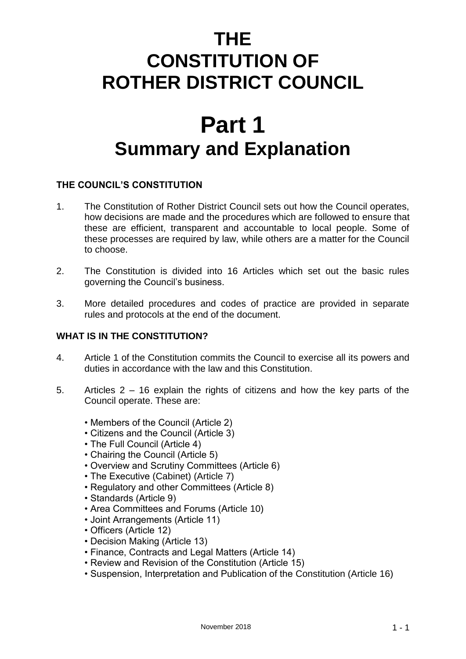# **THE CONSTITUTION OF ROTHER DISTRICT COUNCIL**

# **Part 1 Summary and Explanation**

# **THE COUNCIL'S CONSTITUTION**

- 1. The Constitution of Rother District Council sets out how the Council operates, how decisions are made and the procedures which are followed to ensure that these are efficient, transparent and accountable to local people. Some of these processes are required by law, while others are a matter for the Council to choose.
- 2. The Constitution is divided into 16 Articles which set out the basic rules governing the Council's business.
- 3. More detailed procedures and codes of practice are provided in separate rules and protocols at the end of the document.

# **WHAT IS IN THE CONSTITUTION?**

- 4. Article 1 of the Constitution commits the Council to exercise all its powers and duties in accordance with the law and this Constitution.
- 5. Articles 2 16 explain the rights of citizens and how the key parts of the Council operate. These are:
	- Members of the Council (Article 2)
	- Citizens and the Council (Article 3)
	- The Full Council (Article 4)
	- Chairing the Council (Article 5)
	- Overview and Scrutiny Committees (Article 6)
	- The Executive (Cabinet) (Article 7)
	- Regulatory and other Committees (Article 8)
	- Standards (Article 9)
	- Area Committees and Forums (Article 10)
	- Joint Arrangements (Article 11)
	- Officers (Article 12)
	- Decision Making (Article 13)
	- Finance, Contracts and Legal Matters (Article 14)
	- Review and Revision of the Constitution (Article 15)
	- Suspension, Interpretation and Publication of the Constitution (Article 16)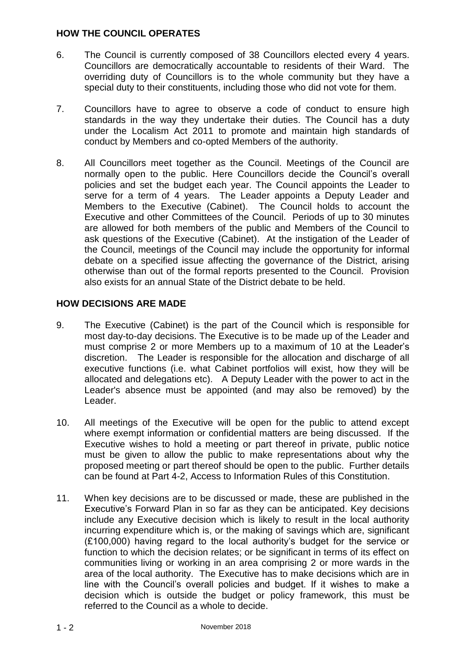#### **HOW THE COUNCIL OPERATES**

- 6. The Council is currently composed of 38 Councillors elected every 4 years. Councillors are democratically accountable to residents of their Ward. The overriding duty of Councillors is to the whole community but they have a special duty to their constituents, including those who did not vote for them.
- 7. Councillors have to agree to observe a code of conduct to ensure high standards in the way they undertake their duties. The Council has a duty under the Localism Act 2011 to promote and maintain high standards of conduct by Members and co-opted Members of the authority.
- 8. All Councillors meet together as the Council. Meetings of the Council are normally open to the public. Here Councillors decide the Council's overall policies and set the budget each year. The Council appoints the Leader to serve for a term of 4 years. The Leader appoints a Deputy Leader and Members to the Executive (Cabinet). The Council holds to account the Executive and other Committees of the Council. Periods of up to 30 minutes are allowed for both members of the public and Members of the Council to ask questions of the Executive (Cabinet). At the instigation of the Leader of the Council, meetings of the Council may include the opportunity for informal debate on a specified issue affecting the governance of the District, arising otherwise than out of the formal reports presented to the Council. Provision also exists for an annual State of the District debate to be held.

# **HOW DECISIONS ARE MADE**

- 9. The Executive (Cabinet) is the part of the Council which is responsible for most day-to-day decisions. The Executive is to be made up of the Leader and must comprise 2 or more Members up to a maximum of 10 at the Leader's discretion. The Leader is responsible for the allocation and discharge of all executive functions (i.e. what Cabinet portfolios will exist, how they will be allocated and delegations etc). A Deputy Leader with the power to act in the Leader's absence must be appointed (and may also be removed) by the Leader.
- 10. All meetings of the Executive will be open for the public to attend except where exempt information or confidential matters are being discussed. If the Executive wishes to hold a meeting or part thereof in private, public notice must be given to allow the public to make representations about why the proposed meeting or part thereof should be open to the public. Further details can be found at Part 4-2, Access to Information Rules of this Constitution.
- 11. When key decisions are to be discussed or made, these are published in the Executive's Forward Plan in so far as they can be anticipated. Key decisions include any Executive decision which is likely to result in the local authority incurring expenditure which is, or the making of savings which are, significant (£100,000) having regard to the local authority's budget for the service or function to which the decision relates; or be significant in terms of its effect on communities living or working in an area comprising 2 or more wards in the area of the local authority. The Executive has to make decisions which are in line with the Council's overall policies and budget. If it wishes to make a decision which is outside the budget or policy framework, this must be referred to the Council as a whole to decide.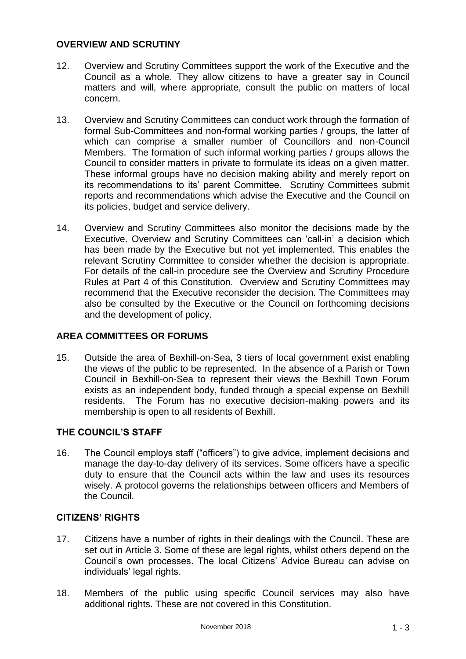#### **OVERVIEW AND SCRUTINY**

- 12. Overview and Scrutiny Committees support the work of the Executive and the Council as a whole. They allow citizens to have a greater say in Council matters and will, where appropriate, consult the public on matters of local concern.
- 13. Overview and Scrutiny Committees can conduct work through the formation of formal Sub-Committees and non-formal working parties / groups, the latter of which can comprise a smaller number of Councillors and non-Council Members. The formation of such informal working parties / groups allows the Council to consider matters in private to formulate its ideas on a given matter. These informal groups have no decision making ability and merely report on its recommendations to its' parent Committee. Scrutiny Committees submit reports and recommendations which advise the Executive and the Council on its policies, budget and service delivery.
- 14. Overview and Scrutiny Committees also monitor the decisions made by the Executive. Overview and Scrutiny Committees can 'call-in' a decision which has been made by the Executive but not yet implemented. This enables the relevant Scrutiny Committee to consider whether the decision is appropriate. For details of the call-in procedure see the Overview and Scrutiny Procedure Rules at Part 4 of this Constitution. Overview and Scrutiny Committees may recommend that the Executive reconsider the decision. The Committees may also be consulted by the Executive or the Council on forthcoming decisions and the development of policy.

# **AREA COMMITTEES OR FORUMS**

15. Outside the area of Bexhill-on-Sea, 3 tiers of local government exist enabling the views of the public to be represented. In the absence of a Parish or Town Council in Bexhill-on-Sea to represent their views the Bexhill Town Forum exists as an independent body, funded through a special expense on Bexhill residents. The Forum has no executive decision-making powers and its membership is open to all residents of Bexhill.

# **THE COUNCIL'S STAFF**

16. The Council employs staff ("officers") to give advice, implement decisions and manage the day-to-day delivery of its services. Some officers have a specific duty to ensure that the Council acts within the law and uses its resources wisely. A protocol governs the relationships between officers and Members of the Council.

#### **CITIZENS' RIGHTS**

- 17. Citizens have a number of rights in their dealings with the Council. These are set out in Article 3. Some of these are legal rights, whilst others depend on the Council's own processes. The local Citizens' Advice Bureau can advise on individuals' legal rights.
- 18. Members of the public using specific Council services may also have additional rights. These are not covered in this Constitution.